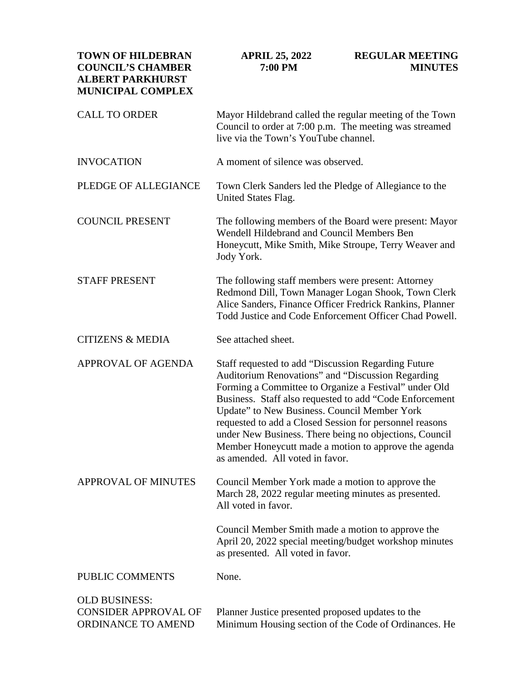**TOWN OF HILDEBRAN COUNCIL'S CHAMBER ALBERT PARKHURST MUNICIPAL COMPLEX APRIL 25, 2022 7:00 PM REGULAR MEETING MINUTES** CALL TO ORDER INVOCATION PLEDGE OF ALLEGIANCE COUNCIL PRESENT STAFF PRESENT CITIZENS & MEDIA APPROVAL OF AGENDA APPROVAL OF MINUTES PUBLIC COMMENTS OLD BUSINESS: CONSIDER APPROVAL OF ORDINANCE TO AMEND Mayor Hildebrand called the regular meeting of the Town Council to order at 7:00 p.m. The meeting was streamed live via the Town's YouTube channel. A moment of silence was observed. Town Clerk Sanders led the Pledge of Allegiance to the United States Flag. The following members of the Board were present: Mayor Wendell Hildebrand and Council Members Ben Honeycutt, Mike Smith, Mike Stroupe, Terry Weaver and Jody York. The following staff members were present: Attorney Redmond Dill, Town Manager Logan Shook, Town Clerk Alice Sanders, Finance Officer Fredrick Rankins, Planner Todd Justice and Code Enforcement Officer Chad Powell. See attached sheet. Staff requested to add "Discussion Regarding Future Auditorium Renovations" and "Discussion Regarding Forming a Committee to Organize a Festival" under Old Business. Staff also requested to add "Code Enforcement Update" to New Business. Council Member York requested to add a Closed Session for personnel reasons under New Business. There being no objections, Council Member Honeycutt made a motion to approve the agenda as amended. All voted in favor. Council Member York made a motion to approve the March 28, 2022 regular meeting minutes as presented. All voted in favor. Council Member Smith made a motion to approve the April 20, 2022 special meeting/budget workshop minutes as presented. All voted in favor. None. Planner Justice presented proposed updates to the Minimum Housing section of the Code of Ordinances. He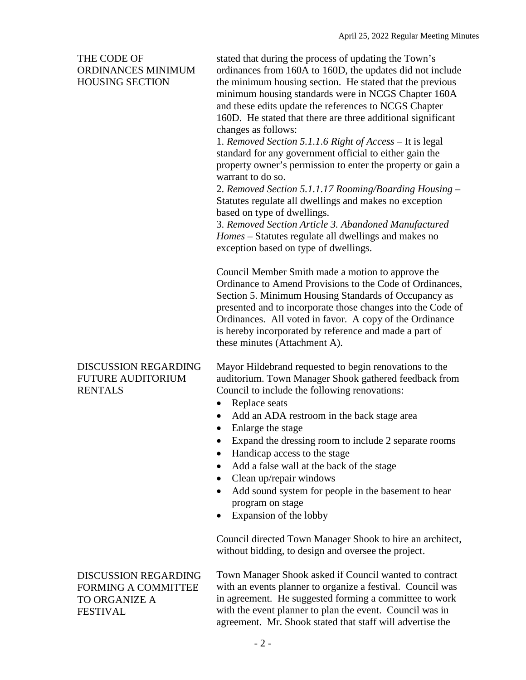## THE CODE OF ORDINANCES MINIMUM HOUSING SECTION

stated that during the process of updating the Town's ordinances from 160A to 160D, the updates did not include the minimum housing section. He stated that the previous minimum housing standards were in NCGS Chapter 160A and these edits update the references to NCGS Chapter 160D. He stated that there are three additional significant changes as follows:

1. *Removed Section 5.1.1.6 Right of Access* – It is legal standard for any government official to either gain the property owner's permission to enter the property or gain a warrant to do so.

2. *Removed Section 5.1.1.17 Rooming/Boarding Housing* – Statutes regulate all dwellings and makes no exception based on type of dwellings.

3. *Removed Section Article 3. Abandoned Manufactured Homes* – Statutes regulate all dwellings and makes no exception based on type of dwellings.

Council Member Smith made a motion to approve the Ordinance to Amend Provisions to the Code of Ordinances, Section 5. Minimum Housing Standards of Occupancy as presented and to incorporate those changes into the Code of Ordinances. All voted in favor. A copy of the Ordinance is hereby incorporated by reference and made a part of these minutes (Attachment A).

### DISCUSSION REGARDING FUTURE AUDITORIUM RENTALS

Mayor Hildebrand requested to begin renovations to the auditorium. Town Manager Shook gathered feedback from Council to include the following renovations:

- Replace seats
- Add an ADA restroom in the back stage area
- Enlarge the stage
- Expand the dressing room to include 2 separate rooms
- Handicap access to the stage
- Add a false wall at the back of the stage
- Clean up/repair windows
- Add sound system for people in the basement to hear program on stage
- Expansion of the lobby

Council directed Town Manager Shook to hire an architect, without bidding, to design and oversee the project.

# DISCUSSION REGARDING FORMING A COMMITTEE TO ORGANIZE A FESTIVAL

Town Manager Shook asked if Council wanted to contract with an events planner to organize a festival. Council was in agreement. He suggested forming a committee to work with the event planner to plan the event. Council was in agreement. Mr. Shook stated that staff will advertise the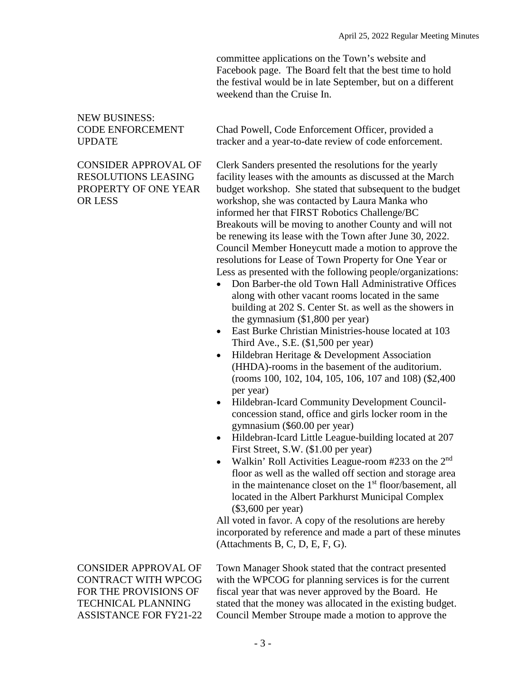committee applications on the Town's website and Facebook page. The Board felt that the best time to hold the festival would be in late September, but on a different weekend than the Cruise In.

## NEW BUSINESS: CODE ENFORCEMENT UPDATE

### CONSIDER APPROVAL OF RESOLUTIONS LEASING PROPERTY OF ONE YEAR OR LESS

Chad Powell, Code Enforcement Officer, provided a tracker and a year-to-date review of code enforcement.

Clerk Sanders presented the resolutions for the yearly facility leases with the amounts as discussed at the March budget workshop. She stated that subsequent to the budget workshop, she was contacted by Laura Manka who informed her that FIRST Robotics Challenge/BC Breakouts will be moving to another County and will not be renewing its lease with the Town after June 30, 2022. Council Member Honeycutt made a motion to approve the resolutions for Lease of Town Property for One Year or Less as presented with the following people/organizations:

- Don Barber-the old Town Hall Administrative Offices along with other vacant rooms located in the same building at 202 S. Center St. as well as the showers in the gymnasium (\$1,800 per year)
- East Burke Christian Ministries-house located at 103 Third Ave., S.E. (\$1,500 per year)
- Hildebran Heritage & Development Association (HHDA)-rooms in the basement of the auditorium. (rooms 100, 102, 104, 105, 106, 107 and 108) (\$2,400 per year)
- Hildebran-Icard Community Development Councilconcession stand, office and girls locker room in the gymnasium (\$60.00 per year)
- Hildebran-Icard Little League-building located at 207 First Street, S.W. (\$1.00 per year)
- Walkin' Roll Activities League-room  $#233$  on the  $2<sup>nd</sup>$ floor as well as the walled off section and storage area in the maintenance closet on the 1<sup>st</sup> floor/basement, all located in the Albert Parkhurst Municipal Complex (\$3,600 per year)

All voted in favor. A copy of the resolutions are hereby incorporated by reference and made a part of these minutes (Attachments B, C, D, E, F, G).

CONSIDER APPROVAL OF CONTRACT WITH WPCOG FOR THE PROVISIONS OF TECHNICAL PLANNING ASSISTANCE FOR FY21-22 Town Manager Shook stated that the contract presented with the WPCOG for planning services is for the current fiscal year that was never approved by the Board. He stated that the money was allocated in the existing budget. Council Member Stroupe made a motion to approve the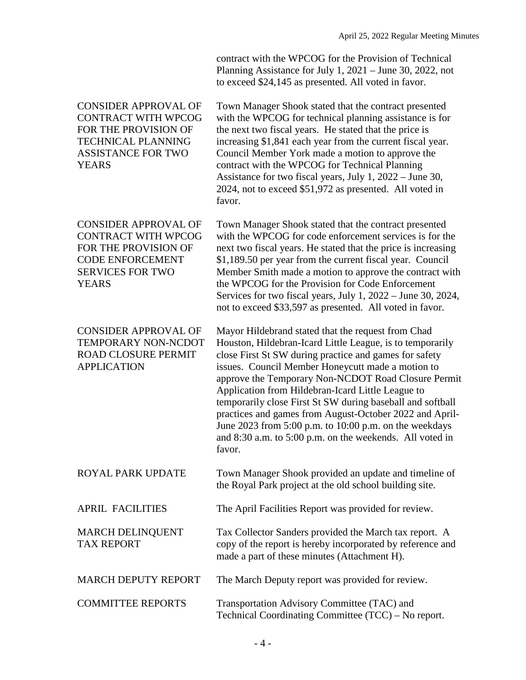contract with the WPCOG for the Provision of Technical Planning Assistance for July 1, 2021 – June 30, 2022, not to exceed \$24,145 as presented. All voted in favor.

| <b>CONSIDER APPROVAL OF</b><br><b>CONTRACT WITH WPCOG</b><br>FOR THE PROVISION OF<br><b>TECHNICAL PLANNING</b><br><b>ASSISTANCE FOR TWO</b><br><b>YEARS</b> | Town Manager Shook stated that the contract presented<br>with the WPCOG for technical planning assistance is for<br>the next two fiscal years. He stated that the price is<br>increasing \$1,841 each year from the current fiscal year.<br>Council Member York made a motion to approve the<br>contract with the WPCOG for Technical Planning<br>Assistance for two fiscal years, July 1, 2022 – June 30,<br>2024, not to exceed \$51,972 as presented. All voted in<br>favor.                                                                                                                     |
|-------------------------------------------------------------------------------------------------------------------------------------------------------------|-----------------------------------------------------------------------------------------------------------------------------------------------------------------------------------------------------------------------------------------------------------------------------------------------------------------------------------------------------------------------------------------------------------------------------------------------------------------------------------------------------------------------------------------------------------------------------------------------------|
| <b>CONSIDER APPROVAL OF</b><br><b>CONTRACT WITH WPCOG</b><br>FOR THE PROVISION OF<br><b>CODE ENFORCEMENT</b><br><b>SERVICES FOR TWO</b><br><b>YEARS</b>     | Town Manager Shook stated that the contract presented<br>with the WPCOG for code enforcement services is for the<br>next two fiscal years. He stated that the price is increasing<br>\$1,189.50 per year from the current fiscal year. Council<br>Member Smith made a motion to approve the contract with<br>the WPCOG for the Provision for Code Enforcement<br>Services for two fiscal years, July 1, 2022 – June 30, 2024,<br>not to exceed \$33,597 as presented. All voted in favor.                                                                                                           |
| <b>CONSIDER APPROVAL OF</b><br>TEMPORARY NON-NCDOT<br><b>ROAD CLOSURE PERMIT</b><br><b>APPLICATION</b>                                                      | Mayor Hildebrand stated that the request from Chad<br>Houston, Hildebran-Icard Little League, is to temporarily<br>close First St SW during practice and games for safety<br>issues. Council Member Honeycutt made a motion to<br>approve the Temporary Non-NCDOT Road Closure Permit<br>Application from Hildebran-Icard Little League to<br>temporarily close First St SW during baseball and softball<br>practices and games from August-October 2022 and April-<br>June 2023 from 5:00 p.m. to 10:00 p.m. on the weekdays<br>and 8:30 a.m. to 5:00 p.m. on the weekends. All voted in<br>favor. |
| <b>ROYAL PARK UPDATE</b>                                                                                                                                    | Town Manager Shook provided an update and timeline of<br>the Royal Park project at the old school building site.                                                                                                                                                                                                                                                                                                                                                                                                                                                                                    |
| <b>APRIL FACILITIES</b>                                                                                                                                     | The April Facilities Report was provided for review.                                                                                                                                                                                                                                                                                                                                                                                                                                                                                                                                                |
| <b>MARCH DELINQUENT</b><br><b>TAX REPORT</b>                                                                                                                | Tax Collector Sanders provided the March tax report. A<br>copy of the report is hereby incorporated by reference and<br>made a part of these minutes (Attachment H).                                                                                                                                                                                                                                                                                                                                                                                                                                |
| <b>MARCH DEPUTY REPORT</b>                                                                                                                                  | The March Deputy report was provided for review.                                                                                                                                                                                                                                                                                                                                                                                                                                                                                                                                                    |
| <b>COMMITTEE REPORTS</b>                                                                                                                                    | Transportation Advisory Committee (TAC) and<br>Technical Coordinating Committee (TCC) – No report.                                                                                                                                                                                                                                                                                                                                                                                                                                                                                                  |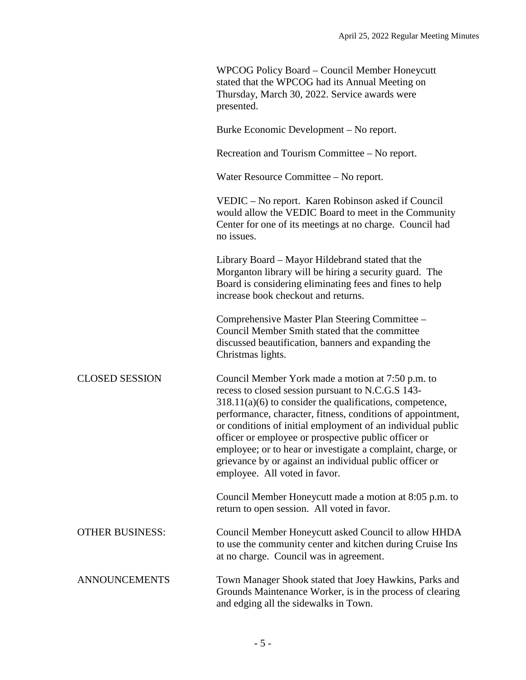|                        | WPCOG Policy Board – Council Member Honeycutt<br>stated that the WPCOG had its Annual Meeting on<br>Thursday, March 30, 2022. Service awards were<br>presented.                                                                                                                                                                                                                                                                                                                                                       |
|------------------------|-----------------------------------------------------------------------------------------------------------------------------------------------------------------------------------------------------------------------------------------------------------------------------------------------------------------------------------------------------------------------------------------------------------------------------------------------------------------------------------------------------------------------|
|                        | Burke Economic Development – No report.                                                                                                                                                                                                                                                                                                                                                                                                                                                                               |
|                        | Recreation and Tourism Committee – No report.                                                                                                                                                                                                                                                                                                                                                                                                                                                                         |
|                        | Water Resource Committee – No report.                                                                                                                                                                                                                                                                                                                                                                                                                                                                                 |
|                        | VEDIC – No report. Karen Robinson asked if Council<br>would allow the VEDIC Board to meet in the Community<br>Center for one of its meetings at no charge. Council had<br>no issues.                                                                                                                                                                                                                                                                                                                                  |
|                        | Library Board - Mayor Hildebrand stated that the<br>Morganton library will be hiring a security guard. The<br>Board is considering eliminating fees and fines to help<br>increase book checkout and returns.                                                                                                                                                                                                                                                                                                          |
|                        | Comprehensive Master Plan Steering Committee -<br>Council Member Smith stated that the committee<br>discussed beautification, banners and expanding the<br>Christmas lights.                                                                                                                                                                                                                                                                                                                                          |
| <b>CLOSED SESSION</b>  | Council Member York made a motion at 7:50 p.m. to<br>recess to closed session pursuant to N.C.G.S 143-<br>$318.11(a)(6)$ to consider the qualifications, competence,<br>performance, character, fitness, conditions of appointment,<br>or conditions of initial employment of an individual public<br>officer or employee or prospective public officer or<br>employee; or to hear or investigate a complaint, charge, or<br>grievance by or against an individual public officer or<br>employee. All voted in favor. |
|                        | Council Member Honeycutt made a motion at 8:05 p.m. to<br>return to open session. All voted in favor.                                                                                                                                                                                                                                                                                                                                                                                                                 |
| <b>OTHER BUSINESS:</b> | Council Member Honeycutt asked Council to allow HHDA<br>to use the community center and kitchen during Cruise Ins<br>at no charge. Council was in agreement.                                                                                                                                                                                                                                                                                                                                                          |
| <b>ANNOUNCEMENTS</b>   | Town Manager Shook stated that Joey Hawkins, Parks and<br>Grounds Maintenance Worker, is in the process of clearing<br>and edging all the sidewalks in Town.                                                                                                                                                                                                                                                                                                                                                          |